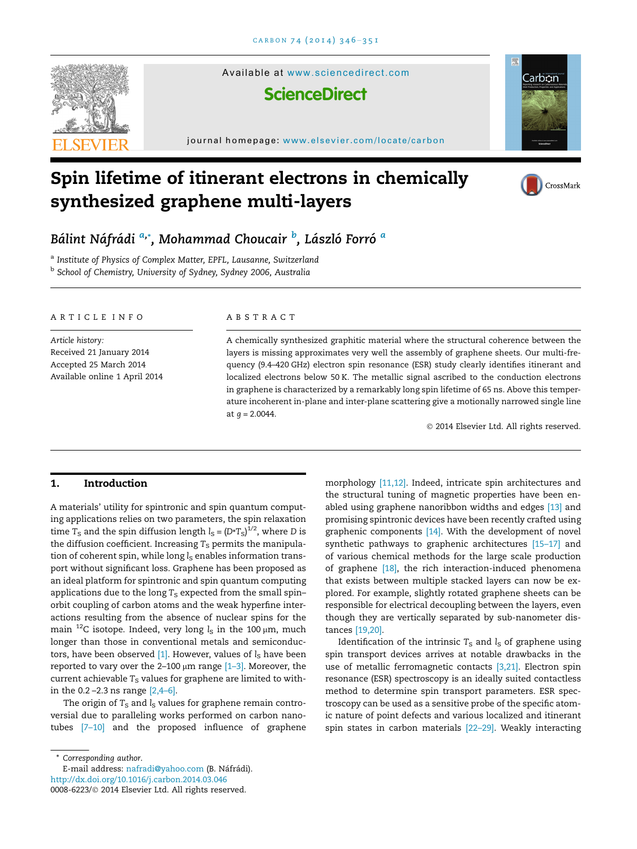

Available at <www.sciencedirect.com>

## **ScienceDirect**

journal homepage: [www.elsevier.com/locate/carbon](http://www.elsevier.com/locate/carbon)

# Spin lifetime of itinerant electrons in chemically synthesized graphene multi-layers



Carbon

## Bálint Náfrádi <sup>a,</sup>\*, Mohammad Choucair <sup>b</sup>, László Forró <sup>a</sup>

a Institute of Physics of Complex Matter, EPFL, Lausanne, Switzerland b School of Chemistry, University of Sydney, Sydney 2006, Australia

#### ARTICLE INFO

Article history: Received 21 January 2014 Accepted 25 March 2014 Available online 1 April 2014

#### ABSTRACT

A chemically synthesized graphitic material where the structural coherence between the layers is missing approximates very well the assembly of graphene sheets. Our multi-frequency (9.4–420 GHz) electron spin resonance (ESR) study clearly identifies itinerant and localized electrons below 50 K. The metallic signal ascribed to the conduction electrons in graphene is characterized by a remarkably long spin lifetime of 65 ns. Above this temperature incoherent in-plane and inter-plane scattering give a motionally narrowed single line at  $g = 2.0044$ .

© 2014 Elsevier Ltd. All rights reserved.

### 1. Introduction

A materials' utility for spintronic and spin quantum computing applications relies on two parameters, the spin relaxation time T<sub>s</sub> and the spin diffusion length  $l_s = (D^*T_s)^{1/2}$ , where D is the diffusion coefficient. Increasing  $T_S$  permits the manipulation of coherent spin, while long  $l_S$  enables information transport without significant loss. Graphene has been proposed as an ideal platform for spintronic and spin quantum computing applications due to the long  $T_S$  expected from the small spin– orbit coupling of carbon atoms and the weak hyperfine interactions resulting from the absence of nuclear spins for the main <sup>12</sup>C isotope. Indeed, very long  $l<sub>S</sub>$  in the 100  $\mu$ m, much longer than those in conventional metals and semiconductors, have been observed  $[1]$ . However, values of  $l_s$  have been reported to vary over the 2–100  $\mu$ m range  $[1-3]$ . Moreover, the current achievable  $T_S$  values for graphene are limited to within the 0.2 –2.3 ns range [\[2,4–6\]](#page-4-0).

The origin of  $T_S$  and  $l_S$  values for graphene remain controversial due to paralleling works performed on carbon nanotubes [\[7–10\]](#page-4-0) and the proposed influence of graphene

\* Corresponding author.

<http://dx.doi.org/10.1016/j.carbon.2014.03.046> 0008-6223/© 2014 Elsevier Ltd. All rights reserved. E-mail address: [nafradi@yahoo.com](mailto:nafradi@yahoo.com) (B. Náfrádi). morphology [\[11,12\].](#page-4-0) Indeed, intricate spin architectures and the structural tuning of magnetic properties have been enabled using graphene nanoribbon widths and edges [\[13\]](#page-4-0) and promising spintronic devices have been recently crafted using graphenic components [\[14\]](#page-4-0). With the development of novel synthetic pathways to graphenic architectures [\[15–17\]](#page-4-0) and of various chemical methods for the large scale production of graphene [\[18\]](#page-4-0), the rich interaction-induced phenomena that exists between multiple stacked layers can now be explored. For example, slightly rotated graphene sheets can be responsible for electrical decoupling between the layers, even though they are vertically separated by sub-nanometer distances [\[19,20\]](#page-4-0).

Identification of the intrinsic  $T<sub>S</sub>$  and  $l<sub>S</sub>$  of graphene using spin transport devices arrives at notable drawbacks in the use of metallic ferromagnetic contacts [\[3,21\].](#page-4-0) Electron spin resonance (ESR) spectroscopy is an ideally suited contactless method to determine spin transport parameters. ESR spectroscopy can be used as a sensitive probe of the specific atomic nature of point defects and various localized and itinerant spin states in carbon materials [\[22–29\]](#page-4-0). Weakly interacting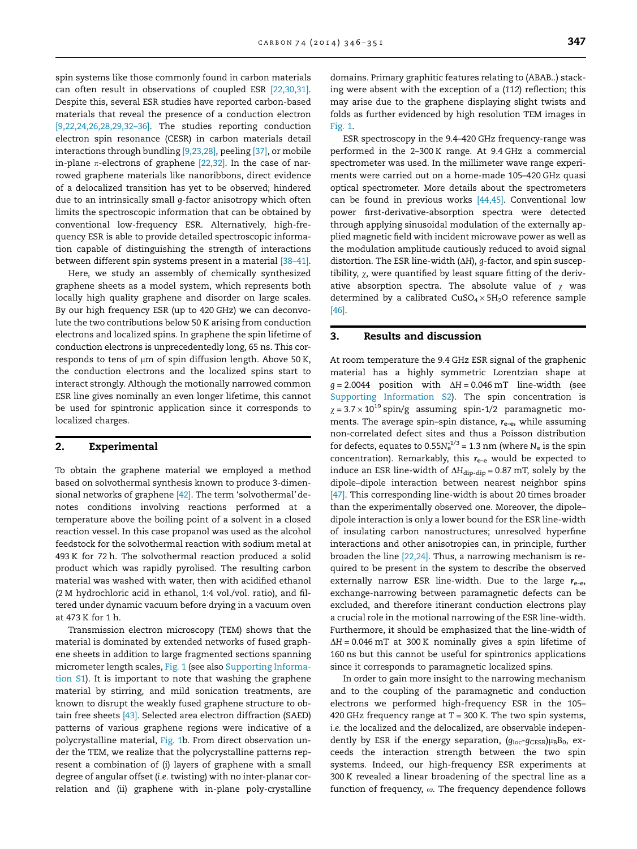spin systems like those commonly found in carbon materials can often result in observations of coupled ESR [\[22,30,31\].](#page-4-0) Despite this, several ESR studies have reported carbon-based materials that reveal the presence of a conduction electron [\[9,22,24,26,28,29,32–36\]](#page-4-0). The studies reporting conduction electron spin resonance (CESR) in carbon materials detail interactions through bundling [\[9,23,28\],](#page-4-0) peeling [\[37\]](#page-5-0), or mobile in-plane  $\pi$ -electrons of graphene [\[22,32\]](#page-4-0). In the case of narrowed graphene materials like nanoribbons, direct evidence of a delocalized transition has yet to be observed; hindered due to an intrinsically small g-factor anisotropy which often limits the spectroscopic information that can be obtained by conventional low-frequency ESR. Alternatively, high-frequency ESR is able to provide detailed spectroscopic information capable of distinguishing the strength of interactions between different spin systems present in a material [\[38–41\].](#page-5-0)

Here, we study an assembly of chemically synthesized graphene sheets as a model system, which represents both locally high quality graphene and disorder on large scales. By our high frequency ESR (up to 420 GHz) we can deconvolute the two contributions below 50 K arising from conduction electrons and localized spins. In graphene the spin lifetime of conduction electrons is unprecedentedly long, 65 ns. This corresponds to tens of  $\mu$ m of spin diffusion length. Above 50 K, the conduction electrons and the localized spins start to interact strongly. Although the motionally narrowed common ESR line gives nominally an even longer lifetime, this cannot be used for spintronic application since it corresponds to localized charges.

#### 2. Experimental

To obtain the graphene material we employed a method based on solvothermal synthesis known to produce 3-dimensional networks of graphene [\[42\].](#page-5-0) The term 'solvothermal' denotes conditions involving reactions performed at a temperature above the boiling point of a solvent in a closed reaction vessel. In this case propanol was used as the alcohol feedstock for the solvothermal reaction with sodium metal at 493 K for 72 h. The solvothermal reaction produced a solid product which was rapidly pyrolised. The resulting carbon material was washed with water, then with acidified ethanol (2 M hydrochloric acid in ethanol, 1:4 vol./vol. ratio), and filtered under dynamic vacuum before drying in a vacuum oven at 473 K for 1 h.

Transmission electron microscopy (TEM) shows that the material is dominated by extended networks of fused graphene sheets in addition to large fragmented sections spanning micrometer length scales, [Fig. 1](#page-2-0) (see also Supporting Information S1). It is important to note that washing the graphene material by stirring, and mild sonication treatments, are known to disrupt the weakly fused graphene structure to obtain free sheets [\[43\]](#page-5-0). Selected area electron diffraction (SAED) patterns of various graphene regions were indicative of a polycrystalline material, [Fig. 1b](#page-2-0). From direct observation under the TEM, we realize that the polycrystalline patterns represent a combination of (i) layers of graphene with a small degree of angular offset (i.e. twisting) with no inter-planar correlation and (ii) graphene with in-plane poly-crystalline

domains. Primary graphitic features relating to (ABAB..) stacking were absent with the exception of a (112) reflection; this may arise due to the graphene displaying slight twists and folds as further evidenced by high resolution TEM images in [Fig. 1](#page-2-0).

ESR spectroscopy in the 9.4–420 GHz frequency-range was performed in the 2–300 K range. At 9.4 GHz a commercial spectrometer was used. In the millimeter wave range experiments were carried out on a home-made 105–420 GHz quasi optical spectrometer. More details about the spectrometers can be found in previous works  $[44,45]$ . Conventional low power first-derivative-absorption spectra were detected through applying sinusoidal modulation of the externally applied magnetic field with incident microwave power as well as the modulation amplitude cautiously reduced to avoid signal distortion. The ESR line-width ( $\Delta H$ ), g-factor, and spin susceptibility,  $\chi$ , were quantified by least square fitting of the derivative absorption spectra. The absolute value of  $\gamma$  was determined by a calibrated  $CuSO<sub>4</sub> \times 5H<sub>2</sub>O$  reference sample [\[46\].](#page-5-0)

#### 3. Results and discussion

At room temperature the 9.4 GHz ESR signal of the graphenic material has a highly symmetric Lorentzian shape at  $g = 2.0044$  position with  $\Delta H = 0.046$  mT line-width (see Supporting Information S2). The spin concentration is  $\chi$  = 3.7  $\times$  10<sup>19</sup> spin/g assuming spin-1/2 paramagnetic moments. The average spin–spin distance,  $r_{e-e}$ , while assuming non-correlated defect sites and thus a Poisson distribution for defects, equates to 0.55 $N_{\rm e}^{1/3}$  = 1.3 nm (where  $N_{\rm e}$  is the spin concentration). Remarkably, this  $r_{e-e}$  would be expected to induce an ESR line-width of  $\Delta H_{\text{dip-dip}} = 0.87$  mT, solely by the dipole–dipole interaction between nearest neighbor spins [\[47\].](#page-5-0) This corresponding line-width is about 20 times broader than the experimentally observed one. Moreover, the dipole– dipole interaction is only a lower bound for the ESR line-width of insulating carbon nanostructures; unresolved hyperfine interactions and other anisotropies can, in principle, further broaden the line [\[22,24\].](#page-4-0) Thus, a narrowing mechanism is required to be present in the system to describe the observed externally narrow ESR line-width. Due to the large  $r_{e-e}$ , exchange-narrowing between paramagnetic defects can be excluded, and therefore itinerant conduction electrons play a crucial role in the motional narrowing of the ESR line-width. Furthermore, it should be emphasized that the line-width of  $\Delta H = 0.046$  mT at 300 K nominally gives a spin lifetime of 160 ns but this cannot be useful for spintronics applications since it corresponds to paramagnetic localized spins.

In order to gain more insight to the narrowing mechanism and to the coupling of the paramagnetic and conduction electrons we performed high-frequency ESR in the 105– 420 GHz frequency range at  $T = 300$  K. The two spin systems, i.e. the localized and the delocalized, are observable independently by ESR if the energy separation,  $(g_{\text{loc}}-g_{\text{CESR}})\mu_B B_0$ , exceeds the interaction strength between the two spin systems. Indeed, our high-frequency ESR experiments at 300 K revealed a linear broadening of the spectral line as a function of frequency,  $\omega$ . The frequency dependence follows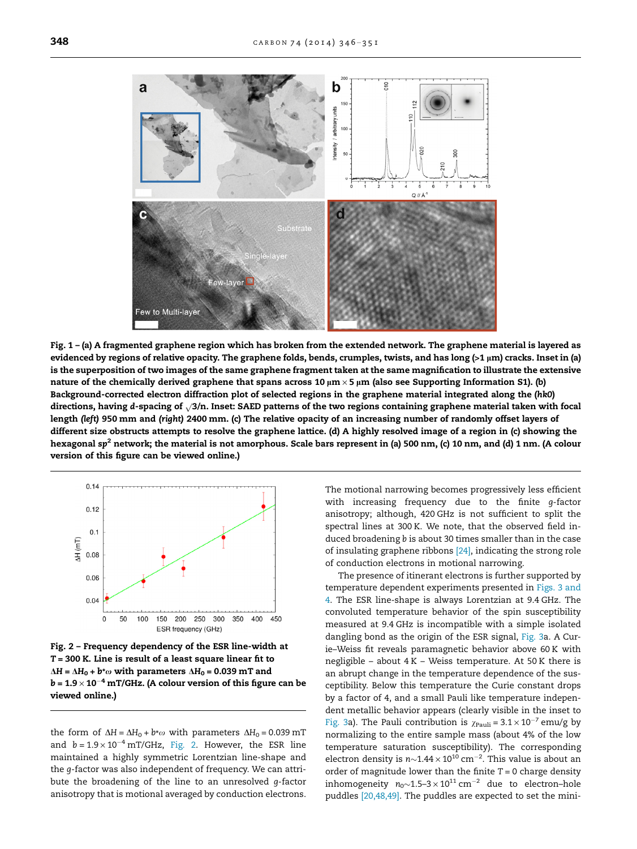<span id="page-2-0"></span>

Fig. 1 – (a) A fragmented graphene region which has broken from the extended network. The graphene material is layered as evidenced by regions of relative opacity. The graphene folds, bends, crumples, twists, and has long  $(>1 \mu m)$  cracks. Inset in (a) is the superposition of two images of the same graphene fragment taken at the same magnification to illustrate the extensive nature of the chemically derived graphene that spans across 10  $\mu$ m × 5  $\mu$ m (also see Supporting Information S1). (b) Background-corrected electron diffraction plot of selected regions in the graphene material integrated along the (hk0) directions, having d-spacing of  $\sqrt{3}/n$ . Inset: SAED patterns of the two regions containing graphene material taken with focal length (left) 950 mm and (right) 2400 mm. (c) The relative opacity of an increasing number of randomly offset layers of different size obstructs attempts to resolve the graphene lattice. (d) A highly resolved image of a region in (c) showing the hexagonal sp<sup>2</sup> network; the material is not amorphous. Scale bars represent in (a) 500 nm, (c) 10 nm, and (d) 1 nm. (A colour version of this figure can be viewed online.)



Fig. 2 – Frequency dependency of the ESR line-width at  $T = 300$  K. Line is result of a least square linear fit to  $\Delta H = \Delta H_0 + b^* \omega$  with parameters  $\Delta H_0 = 0.039$  mT and  $\mathbf{b}$  = 1.9  $\times$  10 $^{-4}$  mT/GHz. (A colour version of this figure can be viewed online.)

the form of  $\Delta H = \Delta H_0 + b^* \omega$  with parameters  $\Delta H_0 = 0.039$  mT and  $b = 1.9 \times 10^{-4}$  mT/GHz, Fig. 2. However, the ESR line maintained a highly symmetric Lorentzian line-shape and the g-factor was also independent of frequency. We can attribute the broadening of the line to an unresolved g-factor anisotropy that is motional averaged by conduction electrons. The motional narrowing becomes progressively less efficient with increasing frequency due to the finite g-factor anisotropy; although, 420 GHz is not sufficient to split the spectral lines at 300 K. We note, that the observed field induced broadening b is about 30 times smaller than in the case of insulating graphene ribbons [\[24\]](#page-5-0), indicating the strong role of conduction electrons in motional narrowing.

The presence of itinerant electrons is further supported by temperature dependent experiments presented in [Figs. 3 and](#page-3-0) [4.](#page-3-0) The ESR line-shape is always Lorentzian at 9.4 GHz. The convoluted temperature behavior of the spin susceptibility measured at 9.4 GHz is incompatible with a simple isolated dangling bond as the origin of the ESR signal, [Fig. 3](#page-3-0)a. A Curie–Weiss fit reveals paramagnetic behavior above 60 K with negligible – about 4 K – Weiss temperature. At 50 K there is an abrupt change in the temperature dependence of the susceptibility. Below this temperature the Curie constant drops by a factor of 4, and a small Pauli like temperature independent metallic behavior appears (clearly visible in the inset to [Fig. 3a](#page-3-0)). The Pauli contribution is  $\chi_{\text{Pauli}} = 3.1 \times 10^{-7}$  emu/g by normalizing to the entire sample mass (about 4% of the low temperature saturation susceptibility). The corresponding electron density is  $n{\sim}1.44\times10^{10}$  cm<sup>-2</sup>. This value is about an order of magnitude lower than the finite  $T = 0$  charge density inhomogeneity  $n_0$ ~1.5–3  $\times$  10<sup>11</sup> cm<sup>-2</sup> due to electron-hole puddles [\[20,48,49\].](#page-4-0) The puddles are expected to set the mini-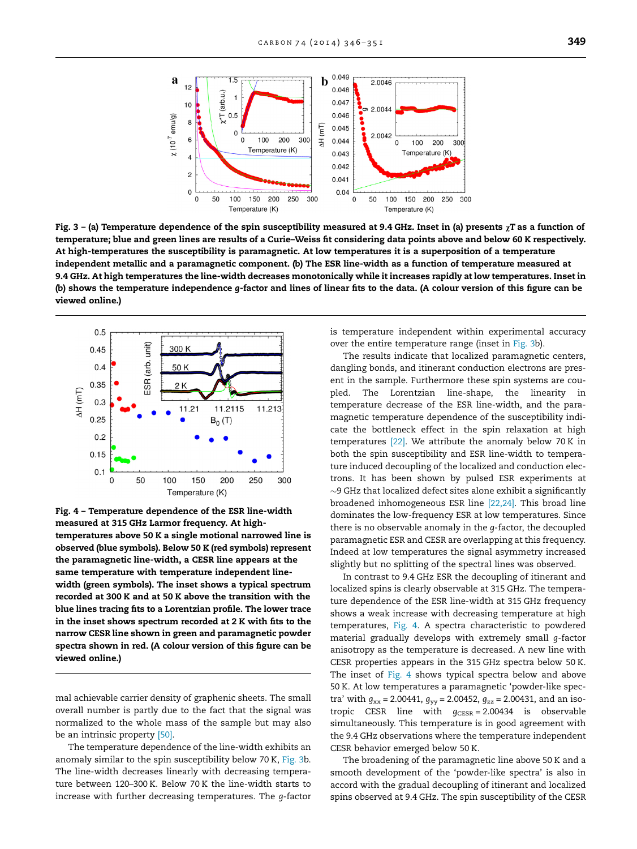<span id="page-3-0"></span>

Fig. 3 – (a) Temperature dependence of the spin susceptibility measured at 9.4 GHz. Inset in (a) presents  $\chi$ T as a function of temperature; blue and green lines are results of a Curie–Weiss fit considering data points above and below 60 K respectively. At high-temperatures the susceptibility is paramagnetic. At low temperatures it is a superposition of a temperature independent metallic and a paramagnetic component. (b) The ESR line-width as a function of temperature measured at 9.4 GHz. At high temperatures the line-width decreases monotonically while it increases rapidly at low temperatures. Inset in (b) shows the temperature independence g-factor and lines of linear fits to the data. (A colour version of this figure can be viewed online.)



Fig. 4 – Temperature dependence of the ESR line-width measured at 315 GHz Larmor frequency. At hightemperatures above 50 K a single motional narrowed line is observed (blue symbols). Below 50 K (red symbols) represent the paramagnetic line-width, a CESR line appears at the same temperature with temperature independent linewidth (green symbols). The inset shows a typical spectrum recorded at 300 K and at 50 K above the transition with the blue lines tracing fits to a Lorentzian profile. The lower trace in the inset shows spectrum recorded at 2 K with fits to the narrow CESR line shown in green and paramagnetic powder spectra shown in red. (A colour version of this figure can be viewed online.)

mal achievable carrier density of graphenic sheets. The small overall number is partly due to the fact that the signal was normalized to the whole mass of the sample but may also be an intrinsic property [\[50\]](#page-5-0).

The temperature dependence of the line-width exhibits an anomaly similar to the spin susceptibility below 70 K, Fig. 3b. The line-width decreases linearly with decreasing temperature between 120–300 K. Below 70 K the line-width starts to increase with further decreasing temperatures. The g-factor is temperature independent within experimental accuracy over the entire temperature range (inset in Fig. 3b).

The results indicate that localized paramagnetic centers, dangling bonds, and itinerant conduction electrons are present in the sample. Furthermore these spin systems are coupled. The Lorentzian line-shape, the linearity in temperature decrease of the ESR line-width, and the paramagnetic temperature dependence of the susceptibility indicate the bottleneck effect in the spin relaxation at high temperatures [\[22\].](#page-4-0) We attribute the anomaly below 70 K in both the spin susceptibility and ESR line-width to temperature induced decoupling of the localized and conduction electrons. It has been shown by pulsed ESR experiments at  $\sim$ 9 GHz that localized defect sites alone exhibit a significantly broadened inhomogeneous ESR line [\[22,24\]](#page-4-0). This broad line dominates the low-frequency ESR at low temperatures. Since there is no observable anomaly in the g-factor, the decoupled paramagnetic ESR and CESR are overlapping at this frequency. Indeed at low temperatures the signal asymmetry increased slightly but no splitting of the spectral lines was observed.

In contrast to 9.4 GHz ESR the decoupling of itinerant and localized spins is clearly observable at 315 GHz. The temperature dependence of the ESR line-width at 315 GHz frequency shows a weak increase with decreasing temperature at high temperatures, Fig. 4. A spectra characteristic to powdered material gradually develops with extremely small g-factor anisotropy as the temperature is decreased. A new line with CESR properties appears in the 315 GHz spectra below 50 K. The inset of Fig. 4 shows typical spectra below and above 50 K. At low temperatures a paramagnetic 'powder-like spectra' with  $g_{xx}$  = 2.00441,  $g_{yy}$  = 2.00452,  $g_{zz}$  = 2.00431, and an isotropic CESR line with  $g_{CESR} = 2.00434$  is observable simultaneously. This temperature is in good agreement with the 9.4 GHz observations where the temperature independent CESR behavior emerged below 50 K.

The broadening of the paramagnetic line above 50 K and a smooth development of the 'powder-like spectra' is also in accord with the gradual decoupling of itinerant and localized spins observed at 9.4 GHz. The spin susceptibility of the CESR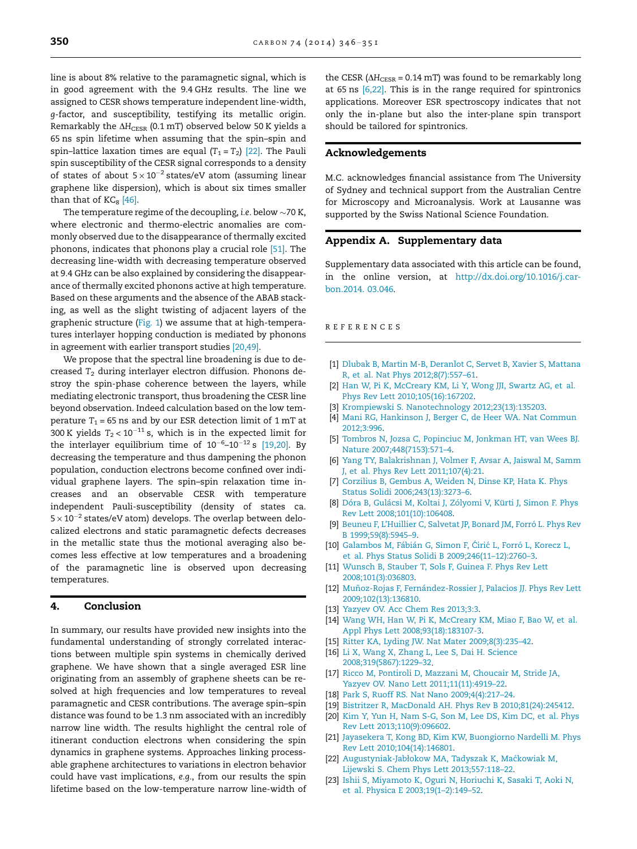<span id="page-4-0"></span>line is about 8% relative to the paramagnetic signal, which is in good agreement with the 9.4 GHz results. The line we assigned to CESR shows temperature independent line-width, g-factor, and susceptibility, testifying its metallic origin. Remarkably the  $\Delta H_{\text{CESR}}$  (0.1 mT) observed below 50 K yields a 65 ns spin lifetime when assuming that the spin–spin and spin–lattice laxation times are equal  $(T_1 = T_2)$  [22]. The Pauli spin susceptibility of the CESR signal corresponds to a density of states of about  $5 \times 10^{-2}$  states/eV atom (assuming linear graphene like dispersion), which is about six times smaller than that of  $KC<sub>8</sub>$  [\[46\].](#page-5-0)

The temperature regime of the decoupling, i.e. below  $\sim$  70 K, where electronic and thermo-electric anomalies are commonly observed due to the disappearance of thermally excited phonons, indicates that phonons play a crucial role [\[51\]](#page-5-0). The decreasing line-width with decreasing temperature observed at 9.4 GHz can be also explained by considering the disappearance of thermally excited phonons active at high temperature. Based on these arguments and the absence of the ABAB stacking, as well as the slight twisting of adjacent layers of the graphenic structure [\(Fig. 1\)](#page-2-0) we assume that at high-temperatures interlayer hopping conduction is mediated by phonons in agreement with earlier transport studies [20,49].

We propose that the spectral line broadening is due to decreased  $T_2$  during interlayer electron diffusion. Phonons destroy the spin-phase coherence between the layers, while mediating electronic transport, thus broadening the CESR line beyond observation. Indeed calculation based on the low temperature  $T_1 = 65$  ns and by our ESR detection limit of 1 mT at 300 K yields  $T_2 < 10^{-11}$  s, which is in the expected limit for the interlayer equilibrium time of  $10^{-6}$ – $10^{-12}$  s [19,20]. By decreasing the temperature and thus dampening the phonon population, conduction electrons become confined over individual graphene layers. The spin–spin relaxation time increases and an observable CESR with temperature independent Pauli-susceptibility (density of states ca.  $5 \times 10^{-2}$  states/eV atom) develops. The overlap between delocalized electrons and static paramagnetic defects decreases in the metallic state thus the motional averaging also becomes less effective at low temperatures and a broadening of the paramagnetic line is observed upon decreasing temperatures.

#### 4. Conclusion

In summary, our results have provided new insights into the fundamental understanding of strongly correlated interactions between multiple spin systems in chemically derived graphene. We have shown that a single averaged ESR line originating from an assembly of graphene sheets can be resolved at high frequencies and low temperatures to reveal paramagnetic and CESR contributions. The average spin–spin distance was found to be 1.3 nm associated with an incredibly narrow line width. The results highlight the central role of itinerant conduction electrons when considering the spin dynamics in graphene systems. Approaches linking processable graphene architectures to variations in electron behavior could have vast implications, e.g., from our results the spin lifetime based on the low-temperature narrow line-width of

the CESR ( $\Delta H_{CESR}$  = 0.14 mT) was found to be remarkably long at 65 ns [6,22]. This is in the range required for spintronics applications. Moreover ESR spectroscopy indicates that not only the in-plane but also the inter-plane spin transport should be tailored for spintronics.

#### Acknowledgements

M.C. acknowledges financial assistance from The University of Sydney and technical support from the Australian Centre for Microscopy and Microanalysis. Work at Lausanne was supported by the Swiss National Science Foundation.

#### Appendix A. Supplementary data

Supplementary data associated with this article can be found, in the online version, at [http://dx.doi.org/10.1016/j.car](http://dx.doi.org/10.1016/j.carbon.2014.03.046)[bon.2014. 03.046.](http://dx.doi.org/10.1016/j.carbon.2014.03.046)

#### REFERENCES

- [1] [Dlubak B, Martin M-B, Deranlot C, Servet B, Xavier S, Mattana](http://refhub.elsevier.com/S0008-6223(14)00303-0/h0005) [R, et al. Nat Phys 2012;8\(7\):557–61.](http://refhub.elsevier.com/S0008-6223(14)00303-0/h0005)
- [2] [Han W, Pi K, McCreary KM, Li Y, Wong JJI, Swartz AG, et al.](http://refhub.elsevier.com/S0008-6223(14)00303-0/h0010) [Phys Rev Lett 2010;105\(16\):167202.](http://refhub.elsevier.com/S0008-6223(14)00303-0/h0010)
- [3] [Krompiewski S. Nanotechnology 2012;23\(13\):135203](http://refhub.elsevier.com/S0008-6223(14)00303-0/h0015).
- [4] [Mani RG, Hankinson J, Berger C, de Heer WA. Nat Commun](http://refhub.elsevier.com/S0008-6223(14)00303-0/h0020) [2012;3:996.](http://refhub.elsevier.com/S0008-6223(14)00303-0/h0020)
- [5] [Tombros N, Jozsa C, Popinciuc M, Jonkman HT, van Wees BJ.](http://refhub.elsevier.com/S0008-6223(14)00303-0/h0025) [Nature 2007;448\(7153\):571–4](http://refhub.elsevier.com/S0008-6223(14)00303-0/h0025).
- [6] [Yang TY, Balakrishnan J, Volmer F, Avsar A, Jaiswal M, Samm](http://refhub.elsevier.com/S0008-6223(14)00303-0/h0030) [J, et al. Phys Rev Lett 2011;107\(4\):21.](http://refhub.elsevier.com/S0008-6223(14)00303-0/h0030)
- [7] [Corzilius B, Gembus A, Weiden N, Dinse KP, Hata K. Phys](http://refhub.elsevier.com/S0008-6223(14)00303-0/h0035) [Status Solidi 2006;243\(13\):3273–6](http://refhub.elsevier.com/S0008-6223(14)00303-0/h0035).
- [8] Dóra B, Gulácsi M, Koltai J, Zólyomi V, Kürti J, Simon F. Phys [Rev Lett 2008;101\(10\):106408](http://refhub.elsevier.com/S0008-6223(14)00303-0/h0040).
- [9] Beuneu F, L'Huillier C, Salvetat JP, Bonard JM, Forró L. Phys Rev [B 1999;59\(8\):5945–9.](http://refhub.elsevier.com/S0008-6223(14)00303-0/h0045)
- [10] Galambos M, Fábián G, Simon F, Ćirić L, Forró L, Korecz L, [et al. Phys Status Solidi B 2009;246\(11–12\):2760–3](http://refhub.elsevier.com/S0008-6223(14)00303-0/h0050).
- [11] [Wunsch B, Stauber T, Sols F, Guinea F. Phys Rev Lett](http://refhub.elsevier.com/S0008-6223(14)00303-0/h0055) [2008;101\(3\):036803](http://refhub.elsevier.com/S0008-6223(14)00303-0/h0055).
- [12] Muñoz-Rojas F, Fernández-Rossier J, Palacios JJ. Phys Rev Lett [2009;102\(13\):136810](http://refhub.elsevier.com/S0008-6223(14)00303-0/h0060).
- [13] [Yazyev OV. Acc Chem Res 2013;3:3](http://refhub.elsevier.com/S0008-6223(14)00303-0/h0065).
- [14] [Wang WH, Han W, Pi K, McCreary KM, Miao F, Bao W, et al.](http://refhub.elsevier.com/S0008-6223(14)00303-0/h0070) [Appl Phys Lett 2008;93\(18\):183107-3](http://refhub.elsevier.com/S0008-6223(14)00303-0/h0070).
- [15] [Ritter KA, Lyding JW. Nat Mater 2009;8\(3\):235–42.](http://refhub.elsevier.com/S0008-6223(14)00303-0/h0075)
- [16] [Li X, Wang X, Zhang L, Lee S, Dai H. Science](http://refhub.elsevier.com/S0008-6223(14)00303-0/h0080) [2008;319\(5867\):1229–32](http://refhub.elsevier.com/S0008-6223(14)00303-0/h0080).
- [17] [Ricco M, Pontiroli D, Mazzani M, Choucair M, Stride JA,](http://refhub.elsevier.com/S0008-6223(14)00303-0/h0085) [Yazyev OV. Nano Lett 2011;11\(11\):4919–22](http://refhub.elsevier.com/S0008-6223(14)00303-0/h0085).
- [18] [Park S, Ruoff RS. Nat Nano 2009;4\(4\):217–24.](http://refhub.elsevier.com/S0008-6223(14)00303-0/h0090)
- [19] [Bistritzer R, MacDonald AH. Phys Rev B 2010;81\(24\):245412](http://refhub.elsevier.com/S0008-6223(14)00303-0/h0095).
- [20] [Kim Y, Yun H, Nam S-G, Son M, Lee DS, Kim DC, et al. Phys](http://refhub.elsevier.com/S0008-6223(14)00303-0/h0100) [Rev Lett 2013;110\(9\):096602](http://refhub.elsevier.com/S0008-6223(14)00303-0/h0100).
- [21] [Jayasekera T, Kong BD, Kim KW, Buongiorno Nardelli M. Phys](http://refhub.elsevier.com/S0008-6223(14)00303-0/h0105) [Rev Lett 2010;104\(14\):146801.](http://refhub.elsevier.com/S0008-6223(14)00303-0/h0105)
- [22] Augustyniak-Jabłokow MA, Tadyszak K, Maćkowiak M, [Lijewski S. Chem Phys Lett 2013;557:118–22.](http://refhub.elsevier.com/S0008-6223(14)00303-0/h0110)
- [23] [Ishii S, Miyamoto K, Oguri N, Horiuchi K, Sasaki T, Aoki N,](http://refhub.elsevier.com/S0008-6223(14)00303-0/h0115) [et al. Physica E 2003;19\(1–2\):149–52.](http://refhub.elsevier.com/S0008-6223(14)00303-0/h0115)